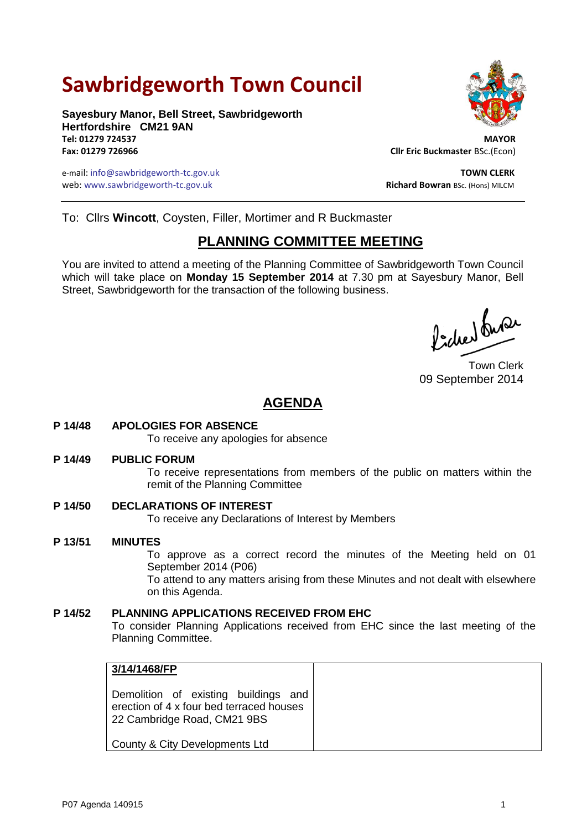# **Sawbridgeworth Town Council**

**Sayesbury Manor, Bell Street, Sawbridgeworth Hertfordshire CM21 9AN Tel: 01279 724537 MAYOR**

e-mail: info@sawbridgeworth-tc.gov.uk **TOWN CLERK** web: www.sawbridgeworth-tc.gov.uk<br> **Richard Bowran** BSc. (Hons) MILCM



**Fax: 01279 726966 Cllr Eric Buckmaster** BSc.(Econ)

To: Cllrs **Wincott**, Coysten, Filler, Mortimer and R Buckmaster

# **PLANNING COMMITTEE MEETING**

You are invited to attend a meeting of the Planning Committee of Sawbridgeworth Town Council which will take place on **Monday 15 September 2014** at 7.30 pm at Sayesbury Manor, Bell Street, Sawbridgeworth for the transaction of the following business.

Picked fuse

Town Clerk 09 September 2014

# **AGENDA**

**P 14/48 APOLOGIES FOR ABSENCE**

To receive any apologies for absence

#### **P 14/49 PUBLIC FORUM**

To receive representations from members of the public on matters within the remit of the Planning Committee

**P 14/50 DECLARATIONS OF INTEREST** To receive any Declarations of Interest by Members

**P 13/51 MINUTES** To approve as a correct record the minutes of the Meeting held on 01 September 2014 (P06) To attend to any matters arising from these Minutes and not dealt with elsewhere on this Agenda.

## **P 14/52 PLANNING APPLICATIONS RECEIVED FROM EHC** To consider Planning Applications received from EHC since the last meeting of the Planning Committee.

| 3/14/1468/FP                                                                                                    |  |
|-----------------------------------------------------------------------------------------------------------------|--|
| Demolition of existing buildings and<br>erection of 4 x four bed terraced houses<br>22 Cambridge Road, CM21 9BS |  |
| County & City Developments Ltd                                                                                  |  |